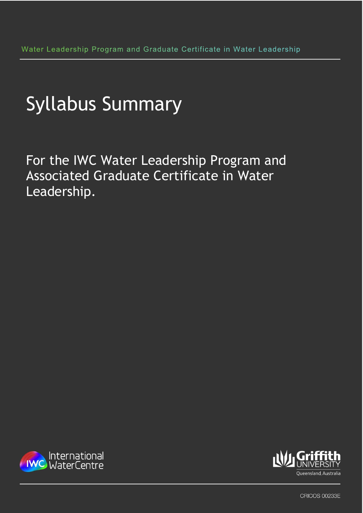For the IWC Water Leadership Program and Associated Graduate Certificate in Water Leadership.





**CRICOS 00233E**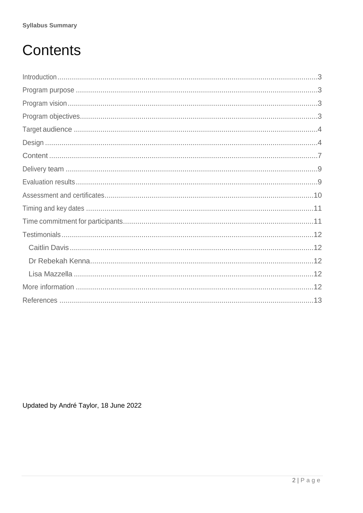# Contents

Updated by André Taylor, 18 June 2022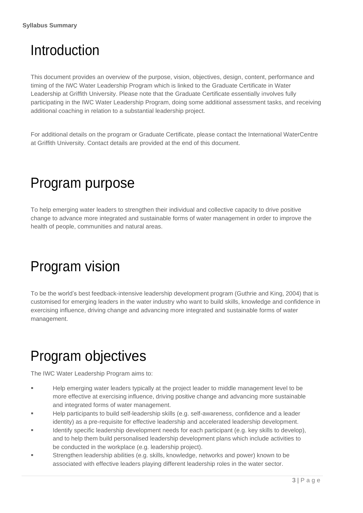# <span id="page-2-0"></span>Introduction

This document provides an overview of the purpose, vision, objectives, design, content, performance and timing of the IWC Water Leadership Program which is linked to the Graduate Certificate in Water Leadership at Griffith University. Please note that the Graduate Certificate essentially involves fully participating in the IWC Water Leadership Program, doing some additional assessment tasks, and receiving additional coaching in relation to a substantial leadership project.

For additional details on the program or Graduate Certificate, please contact the International WaterCentre at Griffith University. Contact details are provided at the end of this document.

### <span id="page-2-1"></span>Program purpose

To help emerging water leaders to strengthen their individual and collective capacity to drive positive change to advance more integrated and sustainable forms of water management in order to improve the health of people, communities and natural areas.

### <span id="page-2-2"></span>Program vision

To be the world's best feedback-intensive leadership development program (Guthrie and King, 2004) that is customised for emerging leaders in the water industry who want to build skills, knowledge and confidence in exercising influence, driving change and advancing more integrated and sustainable forms of water management.

# <span id="page-2-3"></span>Program objectives

The IWC Water Leadership Program aims to:

- **EXECTE HELP EMERGING WATER IS ENDINGER** THE HELP emerging water leaders typically at the project leader to middle management level to be more effective at exercising influence, driving positive change and advancing more sustainable and integrated forms of water management.
- Help participants to build self-leadership skills (e.g. self-awareness, confidence and a leader identity) as a pre-requisite for effective leadership and accelerated leadership development.
- Identify specific leadership development needs for each participant (e.g. key skills to develop), and to help them build personalised leadership development plans which include activities to be conducted in the workplace (e.g. leadership project).
- Strengthen leadership abilities (e.g. skills, knowledge, networks and power) known to be associated with effective leaders playing different leadership roles in the water sector.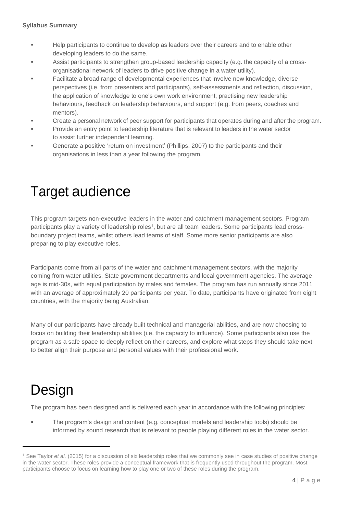- Help participants to continue to develop as leaders over their careers and to enable other developing leaders to do the same.
- Assist participants to strengthen group-based leadership capacity (e.g. the capacity of a crossorganisational network of leaders to drive positive change in a water utility).
- Facilitate a broad range of developmental experiences that involve new knowledge, diverse perspectives (i.e. from presenters and participants), self-assessments and reflection, discussion, the application of knowledge to one's own work environment, practising new leadership behaviours, feedback on leadership behaviours, and support (e.g. from peers, coaches and mentors).
- Create a personal network of peer support for participants that operates during and after the program.
- Provide an entry point to leadership literature that is relevant to leaders in the water sector to assist further independent learning.
- Generate a positive 'return on investment' (Phillips, 2007) to the participants and their organisations in less than a year following the program.

### <span id="page-3-0"></span>Target audience

This program targets non-executive leaders in the water and catchment management sectors. Program participants play a variety of leadership roles<sup>1</sup>, but are all team leaders. Some participants lead crossboundary project teams, whilst others lead teams of staff. Some more senior participants are also preparing to play executive roles.

Participants come from all parts of the water and catchment management sectors, with the majority coming from water utilities, State government departments and local government agencies. The average age is mid-30s, with equal participation by males and females. The program has run annually since 2011 with an average of approximately 20 participants per year. To date, participants have originated from eight countries, with the majority being Australian.

Many of our participants have already built technical and managerial abilities, and are now choosing to focus on building their leadership abilities (i.e. the capacity to influence). Some participants also use the program as a safe space to deeply reflect on their careers, and explore what steps they should take next to better align their purpose and personal values with their professional work.

# <span id="page-3-1"></span>Design

The program has been designed and is delivered each year in accordance with the following principles:

The program's design and content (e.g. conceptual models and leadership tools) should be informed by sound research that is relevant to people playing different roles in the water sector.

<sup>1</sup> See Taylor *et al.* (2015) for a discussion of six leadership roles that we commonly see in case studies of positive change in the water sector. These roles provide a conceptual framework that is frequently used throughout the program. Most participants choose to focus on learning how to play one or two of these roles during the program.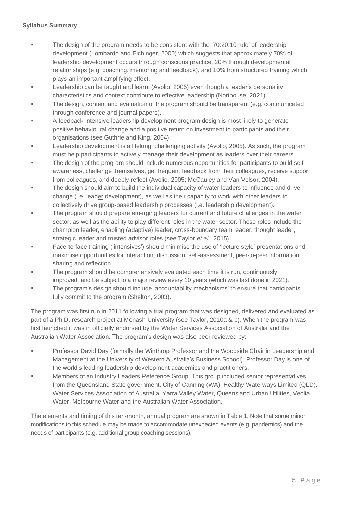- The design of the program needs to be consistent with the '70:20:10 rule' of leadership development (Lombardo and Eichinger, 2000) which suggests that approximately 70% of leadership development occurs through conscious practice, 20% through developmental relationships (e.g. coaching, mentoring and feedback), and 10% from structured training which plays an important amplifying effect.
- Leadership can be taught and learnt (Avolio, 2005) even though a leader's personality characteristics and context contribute to effective leadership (Northouse, 2021).
- The design, content and evaluation of the program should be transparent (e.g. communicated through conference and journal papers).
- A feedback-intensive leadership development program design is most likely to generate positive behavioural change and a positive return on investment to participants and their organisations (see Guthrie and King, 2004).
- **EXECTED** Leadership development is a lifelong, challenging activity (Avolio, 2005). As such, the program must help participants to actively manage their development as leaders over their careers.
- The design of the program should include numerous opportunities for participants to build selfawareness, challenge themselves, get frequent feedback from their colleagues, receive support from colleagues, and deeply reflect (Avolio, 2005; McCauley and Van Velsor, 2004).
- **The design should aim to build the individual capacity of water leaders to influence and drive** change (i.e. leader development), as well as their capacity to work with other leaders to collectively drive group-based leadership processes (i.e. leadership development).
- The program should prepare emerging leaders for current and future challenges in the water sector, as well as the ability to play different roles in the water sector. These roles include the champion leader, enabling (adaptive) leader, cross-boundary team leader, thought leader, strategic leader and trusted advisor roles (see Taylor *et al*., 2015).
- Face-to-face training ('intensives') should minimise the use of 'lecture style' presentations and maximise opportunities for interaction, discussion, self-assessment, peer-to-peer information sharing and reflection.
- The program should be comprehensively evaluated each time it is run, continuously improved, and be subject to a major review every 10 years (which was last done in 2021).
- **The program's design should include 'accountability mechanisms' to ensure that participants** fully commit to the program (Shelton, 2003).

The program was first run in 2011 following a trial program that was designed, delivered and evaluated as part of a Ph.D. research project at Monash University (see Taylor, 2010a & b). When the program was first launched it was in officially endorsed by the Water Services Association of Australia and the Australian Water Association. The program's design was also peer reviewed by:

- **Professor David Day (formally the Winthrop Professor and the Woodside Chair in Leadership and** Management at the University of Western Australia's Business School). Professor Day is one of the world's leading leadership development academics and practitioners.
- Members of an Industry Leaders Reference Group. This group included senior representatives from the Queensland State government, City of Canning (WA), Healthy Waterways Limited (QLD), Water Services Association of Australia, Yarra Valley Water, Queensland Urban Utilities, Veolia Water, Melbourne Water and the Australian Water Association.

The elements and timing of this ten-month, annual program are shown in Table 1. Note that some minor modifications to this schedule may be made to accommodate unexpected events (e.g. pandemics) and the needs of participants (e.g. additional group coaching sessions).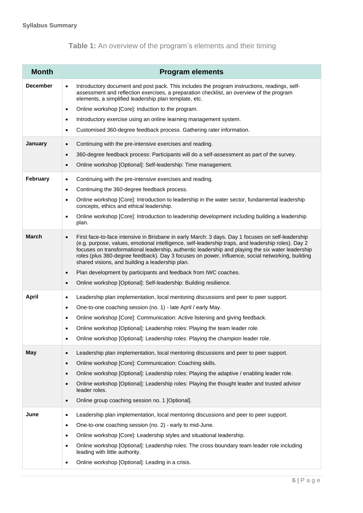#### **Table 1:** An overview of the program's elements and their timing

| <b>Month</b>    | <b>Program elements</b>                                                                                                                                                                                                                                                                                                                                                                                                                                                                                                                                          |
|-----------------|------------------------------------------------------------------------------------------------------------------------------------------------------------------------------------------------------------------------------------------------------------------------------------------------------------------------------------------------------------------------------------------------------------------------------------------------------------------------------------------------------------------------------------------------------------------|
| <b>December</b> | Introductory document and post pack. This includes the program instructions, readings, self-<br>$\bullet$<br>assessment and reflection exercises, a preparation checklist, an overview of the program<br>elements, a simplified leadership plan template, etc.                                                                                                                                                                                                                                                                                                   |
|                 | Online workshop [Core]: Induction to the program.<br>$\bullet$                                                                                                                                                                                                                                                                                                                                                                                                                                                                                                   |
|                 | Introductory exercise using an online learning management system.<br>$\bullet$                                                                                                                                                                                                                                                                                                                                                                                                                                                                                   |
|                 | Customised 360-degree feedback process. Gathering rater information.<br>٠                                                                                                                                                                                                                                                                                                                                                                                                                                                                                        |
| <b>January</b>  | Continuing with the pre-intensive exercises and reading.<br>$\bullet$                                                                                                                                                                                                                                                                                                                                                                                                                                                                                            |
|                 | 360-degree feedback process: Participants will do a self-assessment as part of the survey.<br>$\bullet$                                                                                                                                                                                                                                                                                                                                                                                                                                                          |
|                 | Online workshop [Optional]: Self-leadership: Time management.<br>$\bullet$                                                                                                                                                                                                                                                                                                                                                                                                                                                                                       |
| February        | Continuing with the pre-intensive exercises and reading.<br>٠                                                                                                                                                                                                                                                                                                                                                                                                                                                                                                    |
|                 | Continuing the 360-degree feedback process.<br>$\bullet$                                                                                                                                                                                                                                                                                                                                                                                                                                                                                                         |
|                 | Online workshop [Core]: Introduction to leadership in the water sector, fundamental leadership<br>$\bullet$<br>concepts, ethics and ethical leadership.                                                                                                                                                                                                                                                                                                                                                                                                          |
|                 | Online workshop [Core]: Introduction to leadership development including building a leadership<br>$\bullet$<br>plan.                                                                                                                                                                                                                                                                                                                                                                                                                                             |
| <b>March</b>    | First face-to-face intensive in Brisbane in early March: 3 days. Day 1 focuses on self-leadership<br>$\bullet$<br>(e.g. purpose, values, emotional intelligence, self-leadership traps, and leadership roles). Day 2<br>focuses on transformational leadership, authentic leadership and playing the six water leadership<br>roles (plus 360-degree feedback). Day 3 focuses on power, influence, social networking, building<br>shared visions, and building a leadership plan.<br>Plan development by participants and feedback from IWC coaches.<br>$\bullet$ |
|                 | Online workshop [Optional]: Self-leadership: Building resilience.<br>$\bullet$                                                                                                                                                                                                                                                                                                                                                                                                                                                                                   |
| <b>April</b>    | Leadership plan implementation, local mentoring discussions and peer to peer support.<br>٠                                                                                                                                                                                                                                                                                                                                                                                                                                                                       |
|                 | One-to-one coaching session (no. 1) - late April / early May.<br>$\bullet$                                                                                                                                                                                                                                                                                                                                                                                                                                                                                       |
|                 | Online workshop [Core]: Communication: Active listening and giving feedback.<br>$\bullet$                                                                                                                                                                                                                                                                                                                                                                                                                                                                        |
|                 | Online workshop [Optional]: Leadership roles: Playing the team leader role.<br>٠                                                                                                                                                                                                                                                                                                                                                                                                                                                                                 |
|                 | Online workshop [Optional]: Leadership roles: Playing the champion leader role.                                                                                                                                                                                                                                                                                                                                                                                                                                                                                  |
|                 |                                                                                                                                                                                                                                                                                                                                                                                                                                                                                                                                                                  |
| May             | Leadership plan implementation, local mentoring discussions and peer to peer support.<br>$\bullet$                                                                                                                                                                                                                                                                                                                                                                                                                                                               |
|                 | Online workshop [Core]: Communication: Coaching skills.<br>$\bullet$<br>Online workshop [Optional]: Leadership roles: Playing the adaptive / enabling leader role.                                                                                                                                                                                                                                                                                                                                                                                               |
|                 | $\bullet$<br>Online workshop [Optional]: Leadership roles: Playing the thought leader and trusted advisor<br>$\bullet$                                                                                                                                                                                                                                                                                                                                                                                                                                           |
|                 | leader roles.                                                                                                                                                                                                                                                                                                                                                                                                                                                                                                                                                    |
|                 | Online group coaching session no. 1 [Optional].<br>$\bullet$                                                                                                                                                                                                                                                                                                                                                                                                                                                                                                     |
| June            | Leadership plan implementation, local mentoring discussions and peer to peer support.<br>٠                                                                                                                                                                                                                                                                                                                                                                                                                                                                       |
|                 | One-to-one coaching session (no. 2) - early to mid-June.<br>٠                                                                                                                                                                                                                                                                                                                                                                                                                                                                                                    |
|                 | Online workshop [Core]: Leadership styles and situational leadership.<br>$\bullet$                                                                                                                                                                                                                                                                                                                                                                                                                                                                               |
|                 | Online workshop [Optional]: Leadership roles: The cross-boundary team leader role including<br>٠<br>leading with little authority.                                                                                                                                                                                                                                                                                                                                                                                                                               |
|                 | Online workshop [Optional]: Leading in a crisis.<br>٠                                                                                                                                                                                                                                                                                                                                                                                                                                                                                                            |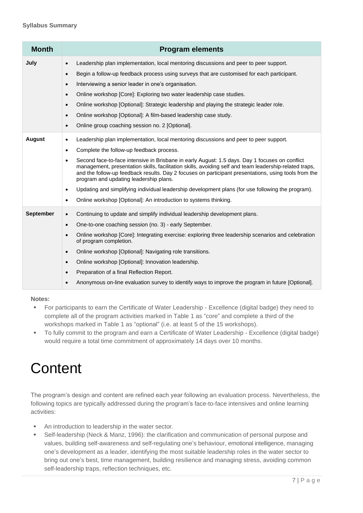| <b>Month</b>     | <b>Program elements</b>                                                                                                                                                                                                                                                                                                                                                                                                                                                                                                                                                                                                                                                                                                           |
|------------------|-----------------------------------------------------------------------------------------------------------------------------------------------------------------------------------------------------------------------------------------------------------------------------------------------------------------------------------------------------------------------------------------------------------------------------------------------------------------------------------------------------------------------------------------------------------------------------------------------------------------------------------------------------------------------------------------------------------------------------------|
| July             | Leadership plan implementation, local mentoring discussions and peer to peer support.<br>$\bullet$<br>Begin a follow-up feedback process using surveys that are customised for each participant.<br>$\bullet$<br>Interviewing a senior leader in one's organisation.<br>$\bullet$<br>Online workshop [Core]: Exploring two water leadership case studies.<br>$\bullet$<br>Online workshop [Optional]: Strategic leadership and playing the strategic leader role.<br>$\bullet$                                                                                                                                                                                                                                                    |
|                  | Online workshop [Optional]: A film-based leadership case study.<br>$\bullet$<br>Online group coaching session no. 2 [Optional].<br>$\bullet$                                                                                                                                                                                                                                                                                                                                                                                                                                                                                                                                                                                      |
| <b>August</b>    | Leadership plan implementation, local mentoring discussions and peer to peer support.<br>$\bullet$<br>Complete the follow-up feedback process.<br>٠<br>Second face-to-face intensive in Brisbane in early August: 1.5 days. Day 1 focuses on conflict<br>$\bullet$<br>management, presentation skills, facilitation skills, avoiding self and team leadership-related traps,<br>and the follow-up feedback results. Day 2 focuses on participant presentations, using tools from the<br>program and updating leadership plans.<br>Updating and simplifying individual leadership development plans (for use following the program).<br>$\bullet$<br>Online workshop [Optional]: An introduction to systems thinking.<br>$\bullet$ |
| <b>September</b> | Continuing to update and simplify individual leadership development plans.<br>$\bullet$<br>One-to-one coaching session (no. 3) - early September.<br>$\bullet$<br>Online workshop [Core]: Integrating exercise: exploring three leadership scenarios and celebration<br>$\bullet$<br>of program completion.<br>Online workshop [Optional]: Navigating role transitions.<br>$\bullet$<br>Online workshop [Optional]: Innovation leadership.<br>$\bullet$<br>Preparation of a final Reflection Report.<br>$\bullet$<br>Anonymous on-line evaluation survey to identify ways to improve the program in future [Optional].<br>$\bullet$                                                                                               |

#### **Notes:**

- For participants to earn the Certificate of Water Leadership Excellence (digital badge) they need to complete all of the program activities marked in Table 1 as "core" and complete a third of the workshops marked in Table 1 as "optional" (i.e. at least 5 of the 15 workshops).
- To fully commit to the program and earn a Certificate of Water Leadership Excellence (digital badge) would require a total time commitment of approximately 14 days over 10 months.

# <span id="page-6-0"></span>**Content**

The program's design and content are refined each year following an evaluation process. Nevertheless, the following topics are typically addressed during the program's face-to-face intensives and online learning activities:

- An introduction to leadership in the water sector.
- Self-leadership (Neck & Manz, 1996): the clarification and communication of personal purpose and values, building self-awareness and self-regulating one's behaviour, emotional intelligence, managing one's development as a leader, identifying the most suitable leadership roles in the water sector to bring out one's best, time management, building resilience and managing stress, avoiding common self-leadership traps, reflection techniques, etc.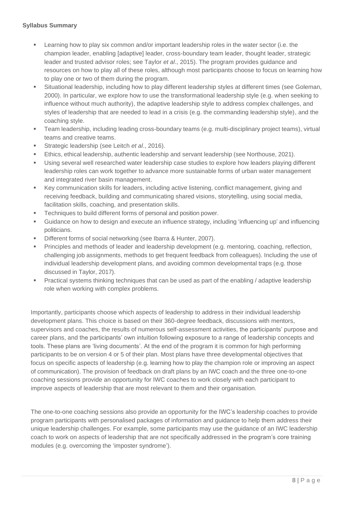- Learning how to play six common and/or important leadership roles in the water sector (i.e. the champion leader, enabling [adaptive] leader, cross-boundary team leader, thought leader, strategic leader and trusted advisor roles; see Taylor *et al*., 2015). The program provides guidance and resources on how to play all of these roles, although most participants choose to focus on learning how to play one or two of them during the program.
- Situational leadership, including how to play different leadership styles at different times (see Goleman, 2000). In particular, we explore how to use the transformational leadership style (e.g. when seeking to influence without much authority), the adaptive leadership style to address complex challenges, and styles of leadership that are needed to lead in a crisis (e.g. the commanding leadership style), and the coaching style.
- **•** Team leadership, including leading cross-boundary teams (e.g. multi-disciplinary project teams), virtual teams and creative teams.
- Strategic leadership (see Leitch *et al.*, 2016).
- Ethics, ethical leadership, authentic leadership and servant leadership (see Northouse, 2021).
- Using several well researched water leadership case studies to explore how leaders playing different leadership roles can work together to advance more sustainable forms of urban water management and integrated river basin management.
- Key communication skills for leaders, including active listening, conflict management, giving and receiving feedback, building and communicating shared visions, storytelling, using social media, facilitation skills, coaching, and presentation skills.
- Techniques to build different forms of personal and position power.
- Guidance on how to design and execute an influence strategy, including 'influencing up' and influencing politicians.
- Different forms of social networking (see Ibarra & Hunter, 2007).
- **Principles and methods of leader and leadership development (e.g. mentoring, coaching, reflection,** challenging job assignments, methods to get frequent feedback from colleagues). Including the use of individual leadership development plans, and avoiding common developmental traps (e.g. those discussed in Taylor, 2017).
- Practical systems thinking techniques that can be used as part of the enabling / adaptive leadership role when working with complex problems.

Importantly, participants choose which aspects of leadership to address in their individual leadership development plans. This choice is based on their 360-degree feedback, discussions with mentors, supervisors and coaches, the results of numerous self-assessment activities, the participants' purpose and career plans, and the participants' own intuition following exposure to a range of leadership concepts and tools. These plans are 'living documents'. At the end of the program it is common for high performing participants to be on version 4 or 5 of their plan. Most plans have three developmental objectives that focus on specific aspects of leadership (e.g. learning how to play the champion role or improving an aspect of communication). The provision of feedback on draft plans by an IWC coach and the three one-to-one coaching sessions provide an opportunity for IWC coaches to work closely with each participant to improve aspects of leadership that are most relevant to them and their organisation.

The one-to-one coaching sessions also provide an opportunity for the IWC's leadership coaches to provide program participants with personalised packages of information and guidance to help them address their unique leadership challenges. For example, some participants may use the guidance of an IWC leadership coach to work on aspects of leadership that are not specifically addressed in the program's core training modules (e.g. overcoming the 'imposter syndrome').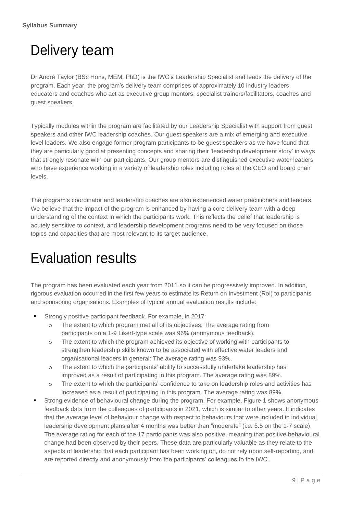# <span id="page-8-0"></span>Delivery team

Dr André Taylor (BSc Hons, MEM, PhD) is the IWC's Leadership Specialist and leads the delivery of the program. Each year, the program's delivery team comprises of approximately 10 industry leaders, educators and coaches who act as executive group mentors, specialist trainers/facilitators, coaches and guest speakers.

Typically modules within the program are facilitated by our Leadership Specialist with support from guest speakers and other IWC leadership coaches. Our guest speakers are a mix of emerging and executive level leaders. We also engage former program participants to be guest speakers as we have found that they are particularly good at presenting concepts and sharing their 'leadership development story' in ways that strongly resonate with our participants. Our group mentors are distinguished executive water leaders who have experience working in a variety of leadership roles including roles at the CEO and board chair levels.

The program's coordinator and leadership coaches are also experienced water practitioners and leaders. We believe that the impact of the program is enhanced by having a core delivery team with a deep understanding of the context in which the participants work. This reflects the belief that leadership is acutely sensitive to context, and leadership development programs need to be very focused on those topics and capacities that are most relevant to its target audience.

# <span id="page-8-1"></span>Evaluation results

The program has been evaluated each year from 2011 so it can be progressively improved. In addition, rigorous evaluation occurred in the first few years to estimate its Return on Investment (RoI) to participants and sponsoring organisations. Examples of typical annual evaluation results include:

- Strongly positive participant feedback. For example, in 2017:
	- o The extent to which program met all of its objectives: The average rating from participants on a 1-9 Likert-type scale was 96% (anonymous feedback).
	- o The extent to which the program achieved its objective of working with participants to strengthen leadership skills known to be associated with effective water leaders and organisational leaders in general: The average rating was 93%.
	- o The extent to which the participants' ability to successfully undertake leadership has improved as a result of participating in this program. The average rating was 89%.
	- o The extent to which the participants' confidence to take on leadership roles and activities has increased as a result of participating in this program. The average rating was 89%.
- Strong evidence of behavioural change during the program. For example, Figure 1 shows anonymous feedback data from the colleagues of participants in 2021, which is similar to other years. It indicates that the average level of behaviour change with respect to behaviours that were included in individual leadership development plans after 4 months was better than "moderate" (i.e. 5.5 on the 1-7 scale). The average rating for each of the 17 participants was also positive, meaning that positive behavioural change had been observed by their peers. These data are particularly valuable as they relate to the aspects of leadership that each participant has been working on, do not rely upon self-reporting, and are reported directly and anonymously from the participants' colleagues to the IWC.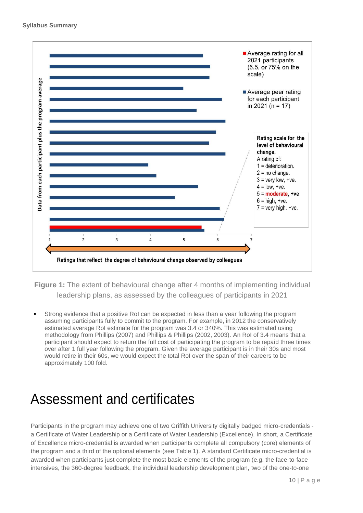

**Figure 1:** The extent of behavioural change after 4 months of implementing individual leadership plans, as assessed by the colleagues of participants in 2021

Strong evidence that a positive RoI can be expected in less than a year following the program assuming participants fully to commit to the program. For example, in 2012 the conservatively estimated average RoI estimate for the program was 3.4 or 340%. This was estimated using methodology from Phillips (2007) and Phillips & Phillips (2002, 2003). An RoI of 3.4 means that a participant should expect to return the full cost of participating the program to be repaid three times over after 1 full year following the program. Given the average participant is in their 30s and most would retire in their 60s, we would expect the total RoI over the span of their careers to be approximately 100 fold.

### <span id="page-9-0"></span>Assessment and certificates

Participants in the program may achieve one of two Griffith University digitally badged micro-credentials a Certificate of Water Leadership or a Certificate of Water Leadership (Excellence). In short, a Certificate of Excellence micro-credential is awarded when participants complete all compulsory (core) elements of the program and a third of the optional elements (see Table 1). A standard Certificate micro-credential is awarded when participants just complete the most basic elements of the program (e.g. the face-to-face intensives, the 360-degree feedback, the individual leadership development plan, two of the one-to-one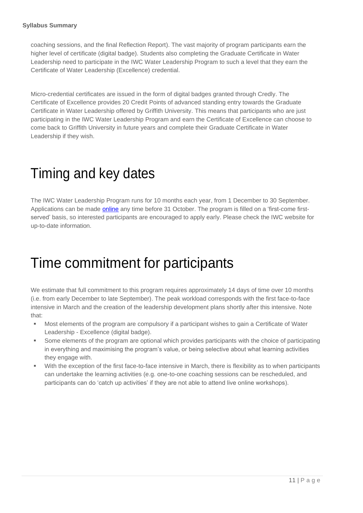coaching sessions, and the final Reflection Report). The vast majority of program participants earn the higher level of certificate (digital badge). Students also completing the Graduate Certificate in Water Leadership need to participate in the IWC Water Leadership Program to such a level that they earn the Certificate of Water Leadership (Excellence) credential.

Micro-credential certificates are issued in the form of digital badges granted through Credly. The Certificate of Excellence provides 20 Credit Points of advanced standing entry towards the Graduate Certificate in Water Leadership offered by Griffith University. This means that participants who are just participating in the IWC Water Leadership Program and earn the Certificate of Excellence can choose to come back to Griffith University in future years and complete their Graduate Certificate in Water Leadership if they wish.

### <span id="page-10-0"></span>Timing and key dates

The IWC Water Leadership Program runs for 10 months each year, from 1 December to 30 September. Applications can be made **online** any time before 31 October. The program is filled on a 'first-come firstserved' basis, so interested participants are encouraged to apply early. Please check the IWC website for up-to-date information.

### <span id="page-10-1"></span>Time commitment for participants

We estimate that full commitment to this program requires approximately 14 days of time over 10 months (i.e. from early December to late September). The peak workload corresponds with the first face-to-face intensive in March and the creation of the leadership development plans shortly after this intensive. Note that:

- Most elements of the program are compulsory if a participant wishes to gain a Certificate of Water Leadership - Excellence (digital badge).
- Some elements of the program are optional which provides participants with the choice of participating in everything and maximising the program's value, or being selective about what learning activities they engage with.
- With the exception of the first face-to-face intensive in March, there is flexibility as to when participants can undertake the learning activities (e.g. one-to-one coaching sessions can be rescheduled, and participants can do 'catch up activities' if they are not able to attend live online workshops).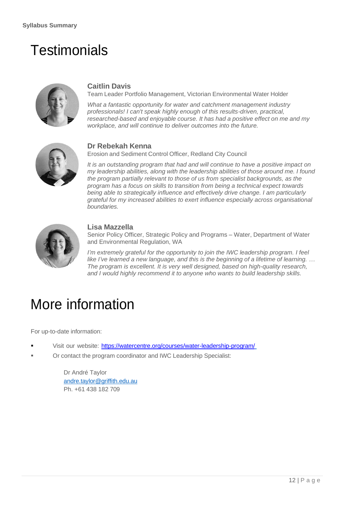### <span id="page-11-0"></span>**Testimonials**

<span id="page-11-1"></span>

#### **Caitlin Davis**

Team Leader Portfolio Management, Victorian Environmental Water Holder

*What a fantastic opportunity for water and catchment management industry professionals! I can't speak highly enough of this results-driven, practical, researched-based and enjoyable course. It has had a positive effect on me and my workplace, and will continue to deliver outcomes into the future.*

<span id="page-11-2"></span>

#### **Dr Rebekah Kenna**

Erosion and Sediment Control Officer, Redland City Council

*It is an outstanding program that had and will continue to have a positive impact on my leadership abilities, along with the leadership abilities of those around me. I found the program partially relevant to those of us from specialist backgrounds, as the program has a focus on skills to transition from being a technical expect towards being able to strategically influence and effectively drive change. I am particularly grateful for my increased abilities to exert influence especially across organisational boundaries.*

<span id="page-11-3"></span>

#### **Lisa Mazzella**

Senior Policy Officer, Strategic Policy and Programs – Water, Department of Water and Environmental Regulation, WA

*I'm extremely grateful for the opportunity to join the IWC leadership program. I feel like I've learned a new language, and this is the beginning of a lifetime of learning. … The program is excellent. It is very well designed, based on high-quality research, and I would highly recommend it to anyone who wants to build leadership skills.*

### <span id="page-11-4"></span>More information

For up-to-date information:

- Visit our website: <https://watercentre.org/courses/water-leadership-program/>
- Or contact the program coordinator and IWC Leadership Specialist:

Dr André Taylor andre.taylor@griffith.edu.au Ph. +61 438 182 709